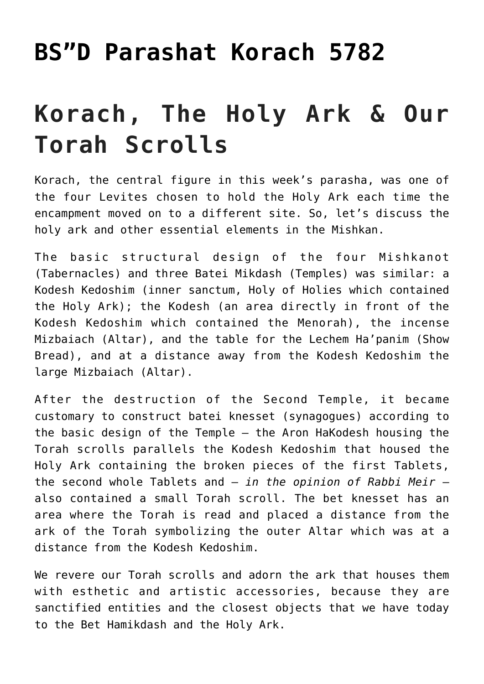## **[BS"D Parashat Korach 5782](https://nachmankahana.com/bsd-parashat-korach-5782/)**

## **Korach, The Holy Ark & Our Torah Scrolls**

Korach, the central figure in this week's parasha, was one of the four Levites chosen to hold the Holy Ark each time the encampment moved on to a different site. So, let's discuss the holy ark and other essential elements in the Mishkan.

The basic structural design of the four Mishkanot (Tabernacles) and three Batei Mikdash (Temples) was similar: a Kodesh Kedoshim (inner sanctum, Holy of Holies which contained the Holy Ark); the Kodesh (an area directly in front of the Kodesh Kedoshim which contained the Menorah), the incense Mizbaiach (Altar), and the table for the Lechem Ha'panim (Show Bread), and at a distance away from the Kodesh Kedoshim the large Mizbaiach (Altar).

After the destruction of the Second Temple, it became customary to construct batei knesset (synagogues) according to the basic design of the Temple – the Aron HaKodesh housing the Torah scrolls parallels the Kodesh Kedoshim that housed the Holy Ark containing the broken pieces of the first Tablets, the second whole Tablets and – *in the opinion of Rabbi Meir* – also contained a small Torah scroll. The bet knesset has an area where the Torah is read and placed a distance from the ark of the Torah symbolizing the outer Altar which was at a distance from the Kodesh Kedoshim.

We revere our Torah scrolls and adorn the ark that houses them with esthetic and artistic accessories, because they are sanctified entities and the closest objects that we have today to the Bet Hamikdash and the Holy Ark.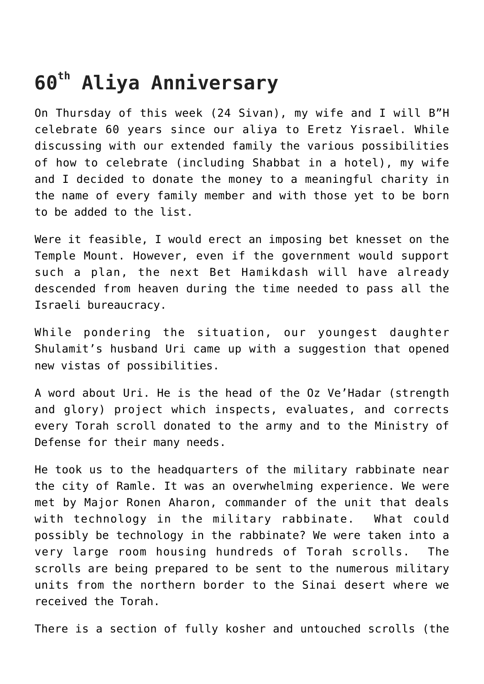## **60th Aliya Anniversary**

On Thursday of this week (24 Sivan), my wife and I will B"H celebrate 60 years since our aliya to Eretz Yisrael. While discussing with our extended family the various possibilities of how to celebrate (including Shabbat in a hotel), my wife and I decided to donate the money to a meaningful charity in the name of every family member and with those yet to be born to be added to the list.

Were it feasible, I would erect an imposing bet knesset on the Temple Mount. However, even if the government would support such a plan, the next Bet Hamikdash will have already descended from heaven during the time needed to pass all the Israeli bureaucracy.

While pondering the situation, our youngest daughter Shulamit's husband Uri came up with a suggestion that opened new vistas of possibilities.

A word about Uri. He is the head of the Oz Ve'Hadar (strength and glory) project which inspects, evaluates, and corrects every Torah scroll donated to the army and to the Ministry of Defense for their many needs.

He took us to the headquarters of the military rabbinate near the city of Ramle. It was an overwhelming experience. We were met by Major Ronen Aharon, commander of the unit that deals with technology in the military rabbinate. What could possibly be technology in the rabbinate? We were taken into a very large room housing hundreds of Torah scrolls. The scrolls are being prepared to be sent to the numerous military units from the northern border to the Sinai desert where we received the Torah.

There is a section of fully kosher and untouched scrolls (the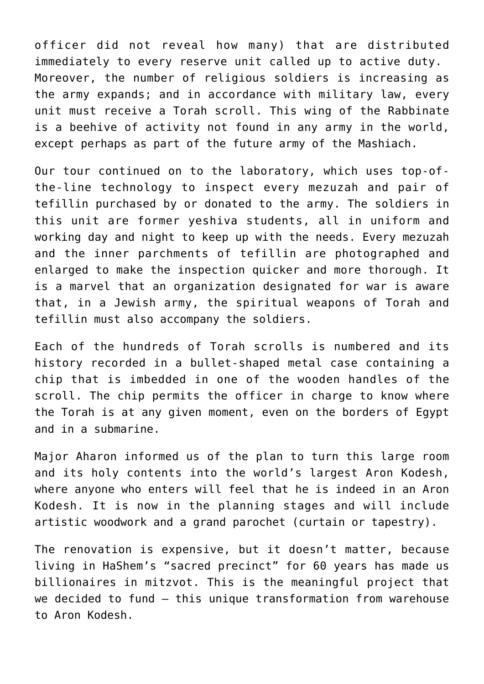officer did not reveal how many) that are distributed immediately to every reserve unit called up to active duty. Moreover, the number of religious soldiers is increasing as the army expands; and in accordance with military law, every unit must receive a Torah scroll. This wing of the Rabbinate is a beehive of activity not found in any army in the world, except perhaps as part of the future army of the Mashiach.

Our tour continued on to the laboratory, which uses top-ofthe-line technology to inspect every mezuzah and pair of tefillin purchased by or donated to the army. The soldiers in this unit are former yeshiva students, all in uniform and working day and night to keep up with the needs. Every mezuzah and the inner parchments of tefillin are photographed and enlarged to make the inspection quicker and more thorough. It is a marvel that an organization designated for war is aware that, in a Jewish army, the spiritual weapons of Torah and tefillin must also accompany the soldiers.

Each of the hundreds of Torah scrolls is numbered and its history recorded in a bullet-shaped metal case containing a chip that is imbedded in one of the wooden handles of the scroll. The chip permits the officer in charge to know where the Torah is at any given moment, even on the borders of Egypt and in a submarine.

Major Aharon informed us of the plan to turn this large room and its holy contents into the world's largest Aron Kodesh, where anyone who enters will feel that he is indeed in an Aron Kodesh. It is now in the planning stages and will include artistic woodwork and a grand parochet (curtain or tapestry).

The renovation is expensive, but it doesn't matter, because living in HaShem's "sacred precinct" for 60 years has made us billionaires in mitzvot. This is the meaningful project that we decided to fund – this unique transformation from warehouse to Aron Kodesh.